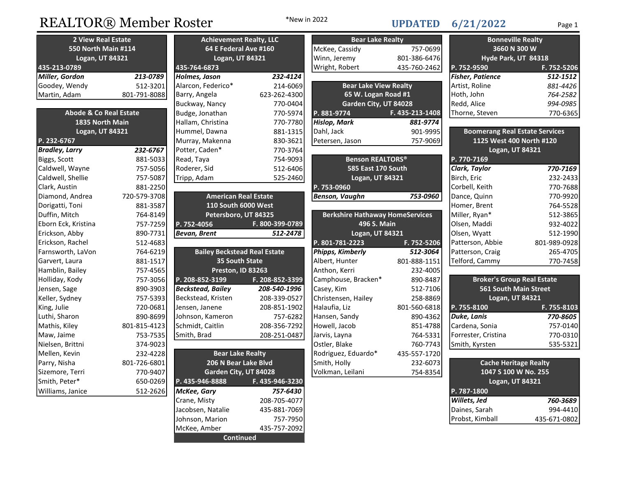# REALTOR® Member Roster \*New in 2022 UPDATED 6/21/2022 Page 1

\*New in 2022

## 6/21/2022

| <b>2 View Real Estate</b>         |              | <b>Achievement Realty, LLC</b>      |                 | <b>Bear Lake Realty</b>                |                 | <b>Bonneville Realty</b>              |              |
|-----------------------------------|--------------|-------------------------------------|-----------------|----------------------------------------|-----------------|---------------------------------------|--------------|
| <b>550 North Main #114</b>        |              | 64 E Federal Ave #160               |                 | McKee, Cassidy                         | 757-0699        | 3660 N 300 W                          |              |
| Logan, UT 84321                   |              | Logan, UT 84321                     |                 | Winn, Jeremy<br>801-386-6476           |                 | Hyde Park, UT 84318                   |              |
| 435-213-0789                      |              | 435-764-6873                        |                 | Wright, Robert                         | 435-760-2462    | P. 752-9590                           | F. 752-5206  |
| Miller, Gordon                    | 213-0789     | Holmes, Jason                       | 232-4124        |                                        |                 | <b>Fisher, Patience</b>               | 512-1512     |
| Goodey, Wendy                     | 512-3201     | Alarcon, Federico*                  | 214-6069        | <b>Bear Lake View Realty</b>           |                 | Artist, Roline                        | 881-4426     |
| Martin, Adam                      | 801-791-8088 | Barry, Angela                       | 623-262-4300    | 65 W. Logan Road #1                    |                 | Hoth, John                            | 764-2582     |
|                                   |              | Buckway, Nancy                      | 770-0404        | Garden City, UT 84028                  |                 | Redd, Alice                           | 994-0985     |
| <b>Abode &amp; Co Real Estate</b> |              | Budge, Jonathan                     | 770-5974        | P. 881-9774                            | F. 435-213-1408 | Thorne, Steven                        | 770-6365     |
| 1835 North Main                   |              | Hallam, Christina                   | 770-7780        | Hislop, Mark                           | 881-9774        |                                       |              |
| Logan, UT 84321                   |              | Hummel, Dawna                       | 881-1315        | Dahl, Jack                             | 901-9995        | <b>Boomerang Real Estate Services</b> |              |
| P. 232-6767                       |              | Murray, Makenna                     | 830-3621        | Petersen, Jason                        | 757-9069        | 1125 West 400 North #120              |              |
| <b>Bradley, Larry</b>             | 232-6767     | Potter, Caden*                      | 770-3764        |                                        |                 | Logan, UT 84321                       |              |
| Biggs, Scott                      | 881-5033     | Read, Taya                          | 754-9093        | <b>Benson REALTORS®</b>                |                 | P. 770-7169                           |              |
| Caldwell, Wayne                   | 757-5056     | Roderer, Sid                        | 512-6406        | 585 East 170 South                     |                 | Clark, Taylor                         | 770-7169     |
| Caldwell, Shellie                 | 757-5087     | Tripp, Adam                         | 525-2460        | Logan, UT 84321                        |                 | Birch, Eric                           | 232-2433     |
| Clark, Austin                     | 881-2250     |                                     |                 | P. 753-0960                            |                 | Corbell, Keith                        | 770-7688     |
| Diamond, Andrea                   | 720-579-3708 | <b>American Real Estate</b>         |                 | Benson, Vaughn                         | 753-0960        | Dance, Quinn                          | 770-9920     |
| Dorigatti, Toni                   | 881-3587     | 110 South 6000 West                 |                 |                                        |                 | Homer, Brent                          | 764-5528     |
| Duffin, Mitch                     | 764-8149     | Petersboro, UT 84325                |                 | <b>Berkshire Hathaway HomeServices</b> |                 | Miller, Ryan*                         | 512-3865     |
| Eborn Eck, Kristina               | 757-7259     | P. 752-4056                         | F. 800-399-0789 | 496 S. Main                            |                 | Olsen, Maddi                          | 932-4022     |
| Erickson, Abby                    | 890-7731     | Bevan, Brent                        | 512-2478        | Logan, UT 84321                        |                 | Olsen, Wyatt                          | 512-1990     |
| Erickson, Rachel                  | 512-4683     |                                     |                 | P. 801-781-2223                        | F. 752-5206     | Patterson, Abbie                      | 801-989-0928 |
| Farnsworth, LaVon                 | 764-6219     | <b>Bailey Beckstead Real Estate</b> |                 | Phipps, Kimberly                       | 512-3064        | Patterson, Craig                      | 265-4705     |
| Garvert, Laura                    | 881-1517     | 35 South State                      |                 | Albert, Hunter                         | 801-888-1151    | Telford, Cammy                        | 770-7458     |
| Hamblin, Bailey                   | 757-4565     | Preston, ID 83263                   |                 | Anthon, Kerri                          | 232-4005        |                                       |              |
| Holliday, Kody                    | 757-3056     | P. 208-852-3199                     | F. 208-852-3399 | Camphouse, Bracken*                    | 890-8487        | <b>Broker's Group Real Estate</b>     |              |
| Jensen, Sage                      | 890-3903     | <b>Beckstead, Bailey</b>            | 208-540-1996    | Casey, Kim                             | 512-7106        | <b>561 South Main Street</b>          |              |
| Keller, Sydney                    | 757-5393     | Beckstead, Kristen                  | 208-339-0527    | Christensen, Hailey                    | 258-8869        | Logan, UT 84321                       |              |
| King, Julie                       | 720-0681     | Jensen, Janene                      | 208-851-1902    | Halaufia, Liz                          | 801-560-6818    | P. 755-8100                           | F. 755-8103  |
| Luthi, Sharon                     | 890-8699     | Johnson, Kameron                    | 757-6282        | Hansen, Sandy                          | 890-4362        | <b>Duke, Lanis</b>                    | 770-8605     |
| Mathis, Kiley                     | 801-815-4123 | Schmidt, Caitlin                    | 208-356-7292    | Howell, Jacob                          | 851-4788        | Cardena, Sonia                        | 757-0140     |
| Maw, Jaime                        | 753-7535     | Smith, Brad                         | 208-251-0487    | Jarvis, Layna                          | 764-5331        | Forrester, Cristina                   | 770-0310     |
| Nielsen, Brittni                  | 374-9023     |                                     |                 | Ostler, Blake                          | 760-7743        | Smith, Kyrsten                        | 535-5321     |
| Mellen, Kevin                     | 232-4228     | <b>Bear Lake Realty</b>             |                 | Rodriguez, Eduardo*                    | 435-557-1720    |                                       |              |
| Parry, Nisha                      | 801-726-6801 | 206 N Bear Lake Blvd                |                 | Smith, Holly                           | 232-6073        | <b>Cache Heritage Realty</b>          |              |
| Sizemore, Terri                   | 770-9407     | Garden City, UT 84028               |                 | Volkman, Leilani                       | 754-8354        | 1047 S 100 W No. 255                  |              |
| Smith, Peter*                     | 650-0269     | P. 435-946-8888                     | F. 435-946-3230 |                                        |                 | Logan, UT 84321                       |              |
| Williams, Janice                  | 512-2626     | McKee, Gary                         | 757-6430        |                                        |                 | P. 787-1800                           |              |

208-705-4077 435-881-7069

435-757-2092

Johnson, Marion 757-7950

**Continued** 

McKee, Amber

Crane, Misty

Jacobsen, Natalie

| <b>Logan, UT 84321</b>                           |  |              |  |  |  |  |
|--------------------------------------------------|--|--------------|--|--|--|--|
| P. 787-1800                                      |  |              |  |  |  |  |
| Willets, Jed<br>Daines, Sarah<br>Probst, Kimball |  | 760-3689     |  |  |  |  |
|                                                  |  | 994-4410     |  |  |  |  |
|                                                  |  | 435-671-0802 |  |  |  |  |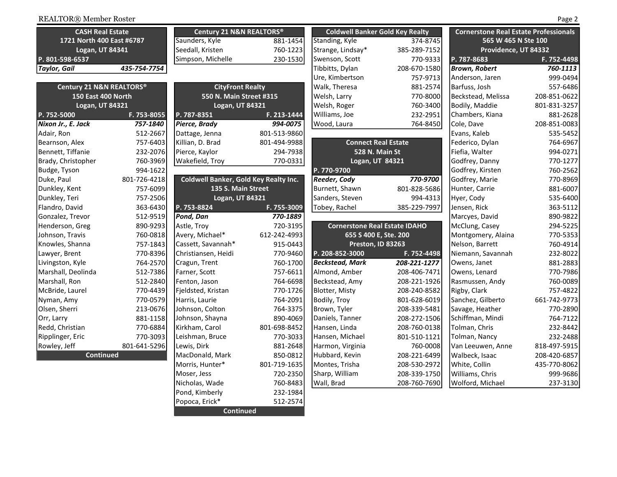| <b>CASH Real Estate</b>   |              | Century 21 N&N REALTORS®              |              | <b>Coldwell Banker Gold Key Realty</b> |              | <b>Cornerstone Real Estate Professionals</b> |              |
|---------------------------|--------------|---------------------------------------|--------------|----------------------------------------|--------------|----------------------------------------------|--------------|
| 1721 North 400 East #6787 |              | Saunders, Kyle                        | 881-1454     | <b>Standing, Kyle</b>                  | 374-8745     | 565 W 465 N Ste 100                          |              |
| Logan, UT 84341           |              | Seedall, Kristen                      | 760-1223     | Strange, Lindsay*                      | 385-289-7152 | Providence, UT 84332                         |              |
| P. 801-598-6537           |              | Simpson, Michelle                     | 230-1530     | Swenson, Scott                         | 770-9333     | P. 787-8683                                  | F. 752-4498  |
| <b>Taylor, Gail</b>       | 435-754-7754 |                                       |              | Tibbitts, Dylan                        | 208-670-1580 | <b>Brown, Robert</b>                         | 760-1113     |
|                           |              |                                       |              | Ure, Kimbertson                        | 757-9713     | Anderson, Jaren                              | 999-0494     |
| Century 21 N&N REALTORS®  |              | <b>CityFront Realty</b>               |              | Walk, Theresa                          | 881-2574     | Barfuss, Josh                                | 557-6486     |
| 150 East 400 North        |              | 550 N. Main Street #315               |              | Welsh, Larry                           | 770-8000     | Beckstead, Melissa                           | 208-851-0622 |
| Logan, UT 84321           |              | Logan, UT 84321                       |              | Welsh, Roger                           | 760-3400     | Bodily, Maddie                               | 801-831-3257 |
| P. 752-5000               | F. 753-8055  | P. 787-8351                           | F. 213-1444  | Williams, Joe                          | 232-2951     | Chambers, Kiana                              | 881-2628     |
| Nixon Jr., E. Jack        | 757-1840     | Pierce, Brady                         | 994-0075     | Wood, Laura                            | 764-8450     | Cole, Dave                                   | 208-851-0083 |
| Adair, Ron                | 512-2667     | Dattage, Jenna                        | 801-513-9860 |                                        |              | Evans, Kaleb                                 | 535-5452     |
| Bearnson, Alex            | 757-6403     | Killian, D. Brad                      | 801-494-9988 | <b>Connect Real Estate</b>             |              | Federico, Dylan                              | 764-6967     |
| Bennett, Tiffanie         | 232-2076     | Pierce, Kaylor                        | 294-7938     | 528 N. Main St                         |              | Fiefia, Walter                               | 994-0271     |
| Brady, Christopher        | 760-3969     | Wakefield, Troy                       | 770-0331     | Logan, UT 84321                        |              | Godfrey, Danny                               | 770-1277     |
| Budge, Tyson              | 994-1622     |                                       |              | P. 770-9700                            |              | Godfrey, Kirsten                             | 760-2562     |
| Duke, Paul                | 801-726-4218 | Coldwell Banker, Gold Key Realty Inc. |              | Reeder, Cody                           | 770-9700     | Godfrey, Marie                               | 770-8969     |
| Dunkley, Kent             | 757-6099     | 135 S. Main Street                    |              | Burnett, Shawn                         | 801-828-5686 | Hunter, Carrie                               | 881-6007     |
| Dunkley, Teri             | 757-2506     | Logan, UT 84321                       |              | Sanders, Steven                        | 994-4313     | Hyer, Cody                                   | 535-6400     |
| Flandro, David            | 363-6430     | P. 753-8824                           | F. 755-3009  | Tobey, Rachel                          | 385-229-7997 | Jensen, Rick                                 | 363-5112     |
| Gonzalez, Trevor          | 512-9519     | Pond, Dan                             | 770-1889     |                                        |              | Marcyes, David                               | 890-9822     |
| Henderson, Greg           | 890-9293     | Astle, Troy                           | 720-3195     | <b>Cornerstone Real Estate IDAHO</b>   |              | McClung, Casey                               | 294-5225     |
| Johnson, Travis           | 760-0818     | Avery, Michael*                       | 612-242-4993 | 655 S 400 E, Ste. 200                  |              | Montgomery, Alaina                           | 770-5353     |
| Knowles, Shanna           | 757-1843     | Cassett, Savannah*                    | 915-0443     | Preston, ID 83263                      |              | Nelson, Barrett                              | 760-4914     |
| Lawyer, Brent             | 770-8396     | Christiansen, Heidi                   | 770-9460     | P. 208-852-3000                        | F. 752-4498  | Niemann, Savannah                            | 232-8022     |
| Livingston, Kyle          | 764-2570     | Cragun, Trent                         | 760-1700     | Beckstead, Mark                        | 208-221-1277 | Owens, Janet                                 | 881-2883     |
| Marshall, Deolinda        | 512-7386     | Farner, Scott                         | 757-6611     | Almond, Amber                          | 208-406-7471 | Owens, Lenard                                | 770-7986     |
| Marshall, Ron             | 512-2840     | Fenton, Jason                         | 764-6698     | Beckstead, Amy                         | 208-221-1926 | Rasmussen, Andy                              | 760-0089     |
| McBride, Laurel           | 770-4439     | Fjeldsted, Kristan                    | 770-1726     | <b>Blotter, Misty</b>                  | 208-240-8582 | Rigby, Clark                                 | 757-4822     |
| Nyman, Amy                | 770-0579     | Harris, Laurie                        | 764-2091     | Bodily, Troy                           | 801-628-6019 | Sanchez, Gilberto                            | 661-742-9773 |
| Olsen, Sherri             | 213-0676     | Johnson, Colton                       | 764-3375     | Brown, Tyler                           | 208-339-5481 | Savage, Heather                              | 770-2890     |
| Orr, Larry                | 881-1158     | Johnson, Shayna                       | 890-4069     | Daniels, Tanner                        | 208-272-1506 | Schiffman, Mindi                             | 764-7122     |
| Redd, Christian           | 770-6884     | Kirkham, Carol                        | 801-698-8452 | Hansen, Linda                          | 208-760-0138 | Tolman, Chris                                | 232-8442     |
| Ripplinger, Eric          | 770-3093     | Leishman, Bruce                       | 770-3033     | Hansen, Michael                        | 801-510-1121 | Tolman, Nancy                                | 232-2488     |
| Rowley, Jeff              | 801-641-5296 | Lewis, Dirk                           | 881-2648     | Harmon, Virginia                       | 760-0008     | Van Leeuwen, Anne                            | 818-497-5915 |
| <b>Continued</b>          |              | MacDonald, Mark                       | 850-0812     | Hubbard, Kevin                         | 208-221-6499 | Walbeck, Isaac                               | 208-420-6857 |
|                           |              | Morris, Hunter*                       | 801-719-1635 | Montes, Trisha                         | 208-530-2972 | White, Collin                                | 435-770-8062 |
|                           |              | Moser, Jess                           | 720-2350     | Sharp, William                         | 208-339-1750 | Williams, Chris                              | 999-9686     |
|                           |              | Nicholas, Wade                        | 760-8483     | Wall, Brad                             | 208-760-7690 | Wolford, Michael                             | 237-3130     |
|                           |              | Pond, Kimberly                        | 232-1984     |                                        |              |                                              |              |
|                           |              | Popoca, Erick*                        | 512-2574     |                                        |              |                                              |              |

**Continued**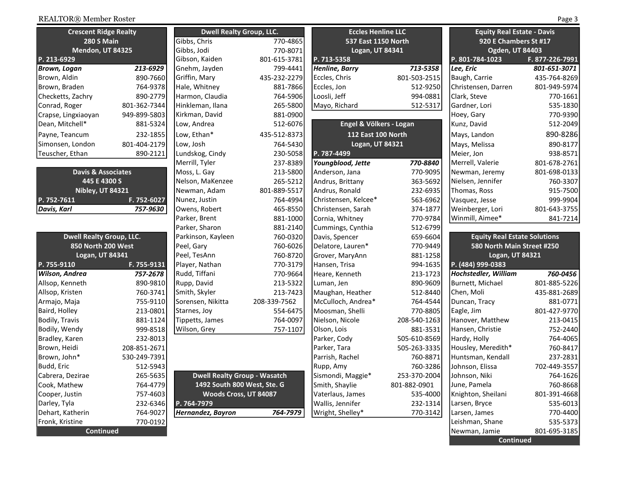| <b>Crescent Ridge Realty</b>  | Dwe          |                |
|-------------------------------|--------------|----------------|
| <b>280 S Main</b>             |              | Gibbs, Chris   |
| <b>Mendon, UT 84325</b>       |              | Gibbs, Jodi    |
| P. 213-6929                   |              | Gibson, Kaid   |
| Brown, Logan                  | 213-6929     | Gnehm, Jayd    |
| Brown, Aldin                  | 890-7660     | Griffin, Mary  |
| Brown, Braden                 | 764-9378     | Hale, Whitne   |
| Checketts, Zachry             | 890-2779     | Harmon, Clai   |
| Conrad, Roger                 | 801-362-7344 | Hinkleman, Il  |
| Crapse, Lingxiaoyan           | 949-899-5803 | Kirkman, Dav   |
| Dean, Mitchell*               | 881-5324     | Low, Andrea    |
| Payne, Teancum                | 232-1855     | Low, Ethan*    |
| Simonsen, London              | 801-404-2179 | Low, Josh      |
| Teuscher, Ethan               | 890-2121     | Lundskog, Ci   |
|                               |              | Merrill, Tyler |
| <b>Davis &amp; Associates</b> |              | Moss, L. Gay   |
| 445 E 4300 S                  |              | Nelson, MaK    |
| <b>Nibley, UT 84321</b>       | Newman, Ad   |                |
| P. 752-7611<br>F. 752-6027    |              | Nunez, Justir  |
| Davis, Karl                   | 757-9630     | Owens, Robe    |
|                               |              | Parker, Brent  |
|                               |              | Parker, Sharc  |
| Dwell Realty Group IIC        |              | Parkinson Ka   |

| <b>Dwell Realty Group, LLC.</b> | Parkinson, Kayleen |                       |
|---------------------------------|--------------------|-----------------------|
| 850 North 200 West              |                    | Peel, Gary            |
| <b>Logan, UT 84341</b>          |                    | Peel, TesAnn          |
| P. 755-9110                     | F. 755-9131        | Player, Nathan        |
| Wilson, Andrea                  | 757-2678           | Rudd, Tiffani         |
| Allsop, Kenneth                 | 890-9810           | Rupp, David           |
| Allsop, Kristen                 | 760-3741           | Smith, Skyler         |
| Armajo, Maja                    | 755-9110           | Sorensen, Nikitta     |
| Baird, Holley                   | 213-0801           | Starnes, Joy          |
| Bodily, Travis                  | 881-1124           | Tippetts, James       |
| Bodily, Wendy                   | 999-8518           | Wilson, Grey          |
| Bradley, Karen                  | 232-8013           |                       |
| Brown, Heidi                    | 208-851-2671       |                       |
| Brown, John*                    | 530-249-7391       |                       |
| Budd, Eric                      | 512-5943           |                       |
| Cabrera, Dezirae                | 265-5635           | <b>Dwell Realty G</b> |
| Cook, Mathew                    | 764-4779           | 1492 South 8          |
| Cooper, Justin                  | 757-4603           | <b>Woods Cro</b>      |
| Darley, Tyla                    | 232-6346           | P. 764-7979           |
| Dehart, Katherin                | 764-9027           | Hernandez, Bayron     |
| Fronk, Kristine                 | 770-0192           |                       |
| <b>Continued</b>                |                    |                       |

| <b>Crescent Ridge Realty</b>    |              | <b>Dwell Realty Group, LLC.</b>     |              | <b>Eccles Henline LLC</b> |                     | <b>Equity Real Estate - Davis</b>   |                       |  |
|---------------------------------|--------------|-------------------------------------|--------------|---------------------------|---------------------|-------------------------------------|-----------------------|--|
| 280 S Main                      |              | Gibbs, Chris                        | 770-4865     |                           | 537 East 1150 North |                                     | 920 E Chambers St #17 |  |
| Mendon, UT 84325                |              | Gibbs, Jodi                         | 770-8071     | Logan, UT 84341           |                     | <b>Ogden, UT 84403</b>              |                       |  |
| P. 213-6929                     |              | Gibson, Kaiden                      | 801-615-3781 | P. 713-5358               |                     | P. 801-784-1023                     | F. 877-226-7991       |  |
| Brown, Logan                    | 213-6929     | Gnehm, Jayden                       | 799-4441     | Henline, Barry            | 713-5358            | Lee, Eric                           | 801-651-3071          |  |
| Brown, Aldin                    | 890-7660     | Griffin, Mary                       | 435-232-2279 | Eccles, Chris             | 801-503-2515        | Baugh, Carrie                       | 435-764-8269          |  |
| Brown, Braden                   | 764-9378     | Hale, Whitney                       | 881-7866     | Eccles, Jon               | 512-9250            | Christensen, Darren                 | 801-949-5974          |  |
| Checketts, Zachry               | 890-2779     | Harmon, Claudia                     | 764-5906     | Loosli, Jeff              | 994-0881            | Clark, Steve                        | 770-1661              |  |
| Conrad, Roger                   | 801-362-7344 | Hinkleman, Ilana                    | 265-5800     | Mayo, Richard             | 512-5317            | Gardner, Lori                       | 535-1830              |  |
| Crapse, Lingxiaoyan             | 949-899-5803 | Kirkman, David                      | 881-0900     |                           |                     | Hoey, Gary                          | 770-9390              |  |
| Dean, Mitchell*                 | 881-5324     | Low, Andrea                         | 512-6076     | Engel & Völkers - Logan   |                     | Kunz, David                         | 512-2049              |  |
| Payne, Teancum                  | 232-1855     | Low, Ethan*                         | 435-512-8373 | <b>112 East 100 North</b> |                     | Mays, Landon                        | 890-8286              |  |
| Simonsen, London                | 801-404-2179 | Low, Josh                           | 764-5430     | Logan, UT 84321           |                     | Mays, Melissa                       | 890-8177              |  |
| Teuscher, Ethan                 | 890-2121     | Lundskog, Cindy                     | 230-5058     | P. 787-4499               |                     | Meier, Jon                          | 938-8571              |  |
|                                 |              | Merrill, Tyler                      | 237-8389     | Youngblood, Jette         | 770-8840            | Merrell, Valerie                    | 801-678-2761          |  |
| <b>Davis &amp; Associates</b>   |              | Moss, L. Gay                        | 213-5800     | Anderson, Jana            | 770-9095            | Newman, Jeremy                      | 801-698-0133          |  |
| 445 E 4300 S                    |              | Nelson, MaKenzee                    | 265-5212     | Andrus, Brittany          | 363-5692            | Nielsen, Jennifer                   | 760-3307              |  |
| <b>Nibley, UT 84321</b>         |              | Newman, Adam                        | 801-889-5517 | Andrus, Ronald            | 232-6935            | Thomas, Ross                        | 915-7500              |  |
| P. 752-7611                     | F. 752-6027  | Nunez, Justin                       | 764-4994     | Christensen, Kelcee*      | 563-6962            | Vasquez, Jesse                      | 999-9904              |  |
| Davis, Karl                     | 757-9630     | Owens, Robert                       | 465-8550     | Christensen, Sarah        | 374-1877            | Weinberger, Lori                    | 801-643-3755          |  |
|                                 |              | Parker, Brent                       | 881-1000     | Cornia, Whitney           | 770-9784            | Winmill, Aimee*                     | 841-7214              |  |
|                                 |              | Parker, Sharon                      | 881-2140     | Cummings, Cynthia         | 512-6799            |                                     |                       |  |
| <b>Dwell Realty Group, LLC.</b> |              | Parkinson, Kayleen                  | 760-0320     | Davis, Spencer            | 659-6604            | <b>Equity Real Estate Solutions</b> |                       |  |
| 850 North 200 West              |              | Peel, Gary                          | 760-6026     | Delatore, Lauren*         | 770-9449            | 580 North Main Street #250          |                       |  |
| Logan, UT 84341                 |              | Peel, TesAnn                        | 760-8720     | Grover, MaryAnn           | 881-1258            | Logan, UT 84321                     |                       |  |
| P. 755-9110                     | F. 755-9131  | Player, Nathan                      | 770-3179     | Hansen, Trisa             | 994-1635            | P. (484) 999-0383                   |                       |  |
| Wilson, Andrea                  | 757-2678     | Rudd, Tiffani                       | 770-9664     | Heare, Kenneth            | 213-1723            | <b>Hochstedler, William</b>         | 760-0456              |  |
| Allsop, Kenneth                 | 890-9810     | Rupp, David                         | 213-5322     | Luman, Jen                | 890-9609            | Burnett, Michael                    | 801-885-5226          |  |
| Allsop, Kristen                 | 760-3741     | Smith, Skyler                       | 213-7423     | Maughan, Heather          | 512-8440            | Chen, Moli                          | 435-881-2689          |  |
| Armajo, Maja                    | 755-9110     | Sorensen, Nikitta                   | 208-339-7562 | McCulloch, Andrea*        | 764-4544            | Duncan, Tracy                       | 881-0771              |  |
| Baird, Holley                   | 213-0801     | Starnes, Joy                        | 554-6475     | Moosman, Shelli           | 770-8805            | Eagle, Jim                          | 801-427-9770          |  |
| <b>Bodily, Travis</b>           | 881-1124     | Tippetts, James                     | 764-0097     | Nielson, Nicole           | 208-540-1263        | Hanover, Matthew                    | 213-0415              |  |
| Bodily, Wendy                   | 999-8518     | Wilson, Grey                        | 757-1107     | Olson, Lois               | 881-3531            | Hansen, Christie                    | 752-2440              |  |
| Bradley, Karen                  | 232-8013     |                                     |              | Parker, Cody              | 505-610-8569        | Hardy, Holly                        | 764-4065              |  |
| Brown, Heidi                    | 208-851-2671 |                                     |              | Parker, Tara              | 505-263-3335        | Housley, Meredith*                  | 760-8417              |  |
| Brown, John*                    | 530-249-7391 |                                     |              | Parrish, Rachel           | 760-8871            | Huntsman, Kendall                   | 237-2831              |  |
| Budd, Eric                      | 512-5943     |                                     |              | Rupp, Amy                 | 760-3286            | Johnson, Elissa                     | 702-449-3557          |  |
| Cabrera, Dezirae                | 265-5635     | <b>Dwell Realty Group - Wasatch</b> |              | Sismondi, Maggie*         | 253-370-2004        | Johnson, Niki                       | 764-1626              |  |
| Cook, Mathew                    | 764-4779     | 1492 South 800 West, Ste. G         |              | Smith, Shaylie            | 801-882-0901        | June, Pamela                        | 760-8668              |  |
| Cooper, Justin                  | 757-4603     | Woods Cross, UT 84087               |              | Vaterlaus, James          | 535-4000            | Knighton, Sheilani                  | 801-391-4668          |  |
| Darley, Tyla                    | 232-6346     | P. 764-7979                         |              | Wallis, Jennifer          | 232-1314            | Larsen, Bryce                       | 535-6013              |  |
| Dehart, Katherin                | 764-9027     | Hernandez, Bayron                   | 764-7979     | Wright, Shelley*          | 770-3142            | Larsen, James                       | 770-4400              |  |
|                                 |              |                                     |              |                           |                     |                                     |                       |  |

|          | <b>Dwell Realty Group, LLC.</b>     |              | <b>Eccles Henline LLC</b> |              | <b>Equity Real Estate - Davis</b>   |                 |
|----------|-------------------------------------|--------------|---------------------------|--------------|-------------------------------------|-----------------|
|          | Gibbs, Chris                        | 770-4865     | 537 East 1150 North       |              | 920 E Chambers St #17               |                 |
|          | Gibbs, Jodi                         | 770-8071     | Logan, UT 84341           |              | <b>Ogden, UT 84403</b>              |                 |
|          | Gibson, Kaiden                      | 801-615-3781 | P. 713-5358               |              | P. 801-784-1023                     | F. 877-226-7991 |
| 213-6929 | Gnehm, Jayden                       | 799-4441     | <b>Henline, Barry</b>     | 713-5358     | Lee, Eric                           | 801-651-3071    |
| 890-7660 | Griffin, Mary                       | 435-232-2279 | Eccles, Chris             | 801-503-2515 | Baugh, Carrie                       | 435-764-8269    |
| 764-9378 | Hale, Whitney                       | 881-7866     | Eccles, Jon               | 512-9250     | Christensen, Darren                 | 801-949-5974    |
| 890-2779 | Harmon, Claudia                     | 764-5906     | Loosli, Jeff              | 994-0881     | Clark, Steve                        | 770-1661        |
| 362-7344 | Hinkleman, Ilana                    | 265-5800     | Mayo, Richard             | 512-5317     | Gardner, Lori                       | 535-1830        |
| 899-5803 | Kirkman, David                      | 881-0900     |                           |              | Hoey, Gary                          | 770-9390        |
| 881-5324 | Low, Andrea                         | 512-6076     | Engel & Völkers - Logan   |              | Kunz, David                         | 512-2049        |
| 232-1855 | Low, Ethan*                         | 435-512-8373 | 112 East 100 North        |              | Mays, Landon                        | 890-8286        |
| 404-2179 | Low, Josh                           | 764-5430     | Logan, UT 84321           |              | Mays, Melissa                       | 890-8177        |
| 890-2121 | Lundskog, Cindy                     | 230-5058     | P. 787-4499               |              | Meier, Jon                          | 938-8571        |
|          | Merrill, Tyler                      | 237-8389     | Youngblood, Jette         | 770-8840     | Merrell, Valerie                    | 801-678-2761    |
|          | Moss, L. Gay                        | 213-5800     | Anderson, Jana            | 770-9095     | Newman, Jeremy                      | 801-698-0133    |
|          | Nelson, MaKenzee                    | 265-5212     | Andrus, Brittany          | 363-5692     | Nielsen, Jennifer                   | 760-3307        |
|          | Newman, Adam                        | 801-889-5517 | Andrus, Ronald            | 232-6935     | Thomas, Ross                        | 915-7500        |
| 752-6027 | Nunez, Justin                       | 764-4994     | Christensen, Kelcee*      | 563-6962     | Vasquez, Jesse                      | 999-9904        |
| 757-9630 | Owens, Robert                       | 465-8550     | Christensen, Sarah        | 374-1877     | Weinberger, Lori                    | 801-643-3755    |
|          | Parker, Brent                       | 881-1000     | Cornia, Whitney           | 770-9784     | Winmill, Aimee*                     | 841-7214        |
|          | Parker, Sharon                      | 881-2140     | Cummings, Cynthia         | 512-6799     |                                     |                 |
| C.       | Parkinson, Kayleen                  | 760-0320     | Davis, Spencer            | 659-6604     | <b>Equity Real Estate Solutions</b> |                 |
|          | Peel, Gary                          | 760-6026     | Delatore, Lauren*         | 770-9449     | 580 North Main Street #250          |                 |
|          | Peel, TesAnn                        | 760-8720     | Grover, MaryAnn           | 881-1258     | Logan, UT 84321                     |                 |
| 755-9131 | Player, Nathan                      | 770-3179     | Hansen, Trisa             | 994-1635     | P. (484) 999-0383                   |                 |
| 757-2678 | Rudd, Tiffani                       | 770-9664     | Heare, Kenneth            | 213-1723     | Hochstedler, William                | 760-0456        |
| 890-9810 | Rupp, David                         | 213-5322     | Luman, Jen                | 890-9609     | Burnett, Michael                    | 801-885-5226    |
| 760-3741 | Smith, Skyler                       | 213-7423     | Maughan, Heather          | 512-8440     | Chen, Moli                          | 435-881-2689    |
| 755-9110 | Sorensen, Nikitta                   | 208-339-7562 | McCulloch, Andrea*        | 764-4544     | Duncan, Tracy                       | 881-0771        |
| 213-0801 | Starnes, Joy                        | 554-6475     | Moosman, Shelli           | 770-8805     | Eagle, Jim                          | 801-427-9770    |
| 881-1124 | Tippetts, James                     | 764-0097     | Nielson, Nicole           | 208-540-1263 | Hanover, Matthew                    | 213-0415        |
| 999-8518 | Wilson, Grey                        | 757-1107     | Olson, Lois               | 881-3531     | Hansen, Christie                    | 752-2440        |
| 232-8013 |                                     |              | Parker, Cody              | 505-610-8569 | Hardy, Holly                        | 764-4065        |
| 851-2671 |                                     |              | Parker, Tara              | 505-263-3335 | Housley, Meredith*                  | 760-8417        |
| 249-7391 |                                     |              | Parrish, Rachel           | 760-8871     | Huntsman, Kendall                   | 237-2831        |
| 512-5943 |                                     |              | Rupp, Amy                 | 760-3286     | Johnson, Elissa                     | 702-449-3557    |
| 265-5635 | <b>Dwell Realty Group - Wasatch</b> |              | Sismondi, Maggie*         | 253-370-2004 | Johnson, Niki                       | 764-1626        |
| 764-4779 | 1492 South 800 West, Ste. G         |              | Smith, Shaylie            | 801-882-0901 | June, Pamela                        | 760-8668        |
| 757-4603 | <b>Woods Cross, UT 84087</b>        |              | Vaterlaus, James          | 535-4000     | Knighton, Sheilani                  | 801-391-4668    |
| 232-6346 | P. 764-7979                         |              | Wallis, Jennifer          | 232-1314     | Larsen, Bryce                       | 535-6013        |
| 764-9027 | Hernandez, Bayron                   | 764-7979     | Wright, Shelley*          | 770-3142     | Larsen, James                       | 770-4400        |
| 770-0192 |                                     |              |                           |              | Leishman, Shane                     | 535-5373        |
|          |                                     |              |                           |              | Newman, Jamie                       | 801-695-3185    |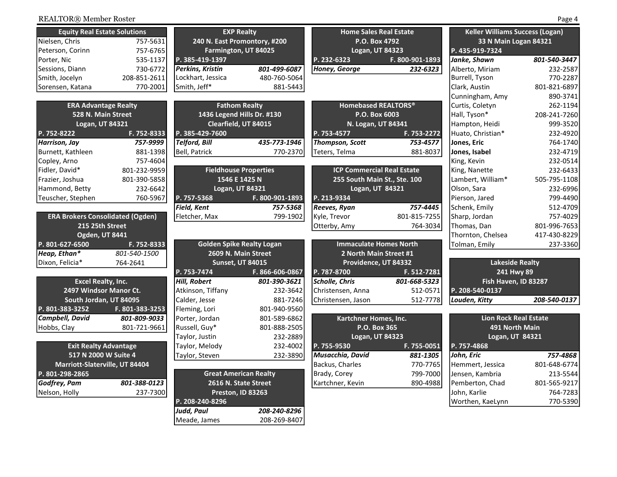| <b>Equity Real Estate Solutions</b>     |                 | <b>EXP Realty</b>                |                 | <b>Home Sales Real Estate</b>     |                 | <b>Keller Williams Success (Logan)</b> |              |
|-----------------------------------------|-----------------|----------------------------------|-----------------|-----------------------------------|-----------------|----------------------------------------|--------------|
| Nielsen, Chris                          | 757-5631        | 240 N. East Promontory, #200     |                 | P.O. Box 4792                     |                 | 33 N Main Logan 84321                  |              |
| Peterson, Corinn                        | 757-6765        | Farmington, UT 84025             |                 | Logan, UT 84323                   |                 | P. 435-919-7324                        |              |
| Porter, Nic                             | 535-1137        | P. 385-419-1397                  |                 | P. 232-6323                       | F. 800-901-1893 | Janke, Shawn                           | 801-540-3447 |
| Sessions, Diann                         | 730-6772        | Perkins, Kristin                 | 801-499-6087    | Honey, George                     | 232-6323        | Alberto, Miriam                        | 232-2587     |
| Smith, Jocelyn                          | 208-851-2611    | Lockhart, Jessica                | 480-760-5064    |                                   |                 | Burrell, Tyson                         | 770-2287     |
| Sorensen, Katana                        | 770-2001        | Smith, Jeff*                     | 881-5443        |                                   |                 | Clark, Austin                          | 801-821-6897 |
|                                         |                 |                                  |                 |                                   |                 | Cunningham, Amy                        | 890-3741     |
| <b>ERA Advantage Realty</b>             |                 | <b>Fathom Realty</b>             |                 | <b>Homebased REALTORS®</b>        |                 | Curtis, Coletyn                        | 262-1194     |
| 528 N. Main Street                      |                 | 1436 Legend Hills Dr. #130       |                 | P.O. Box 6003                     |                 | Hall, Tyson*                           | 208-241-7260 |
| Logan, UT 84321                         |                 | Clearfield, UT 84015             |                 | N. Logan, UT 84341                |                 | Hampton, Heidi                         | 999-3520     |
| P. 752-8222                             | F. 752-8333     | P. 385-429-7600                  |                 | P. 753-4577                       | F. 753-2272     | Huato, Christian*                      | 232-4920     |
| Harrison, Jay                           | 757-9999        | <b>Telford, Bill</b>             | 435-773-1946    | Thompson, Scott                   | 753-4577        | Jones, Eric                            | 764-1740     |
| Burnett, Kathleen                       | 881-1398        | Bell, Patrick                    | 770-2370        | Teters, Telma                     | 881-8037        | Jones, Isabel                          | 232-4719     |
| Copley, Arno                            | 757-4604        |                                  |                 |                                   |                 | King, Kevin                            | 232-0514     |
| Fidler, David*                          | 801-232-9959    | <b>Fieldhouse Properties</b>     |                 | <b>ICP Commercial Real Estate</b> |                 | King, Nanette                          | 232-6433     |
| Frazier, Joshua                         | 801-390-5858    | 1546 E 1425 N                    |                 | 255 South Main St., Ste. 100      |                 | Lambert, William*                      | 505-795-1108 |
| Hammond, Betty                          | 232-6642        | Logan, UT 84321                  |                 | Logan, UT 84321                   |                 | Olson, Sara                            | 232-6996     |
| Teuscher, Stephen                       | 760-5967        | P. 757-5368                      | F. 800-901-1893 | P. 213-9334                       |                 | Pierson, Jared                         | 799-4490     |
|                                         |                 | <b>Field, Kent</b>               | 757-5368        | Reeves, Ryan                      | 757-4445        | Schenk, Emily                          | 512-4709     |
| <b>ERA Brokers Consolidated (Ogden)</b> |                 | Fletcher, Max                    | 799-1902        | Kyle, Trevor                      | 801-815-7255    | Sharp, Jordan                          | 757-4029     |
| 215 25th Street                         |                 |                                  |                 | Otterby, Amy                      | 764-3034        | Thomas, Dan                            | 801-996-7653 |
| <b>Ogden, UT 8441</b>                   |                 |                                  |                 |                                   |                 | Thornton, Chelsea                      | 417-430-8229 |
| P. 801-627-6500                         | F. 752-8333     | <b>Golden Spike Realty Logan</b> |                 | <b>Immaculate Homes North</b>     |                 | Tolman, Emily                          | 237-3360     |
| Heap, Ethan*                            | 801-540-1500    | 2609 N. Main Street              |                 | 2 North Main Street #1            |                 |                                        |              |
| Dixon, Felicia*                         | 764-2641        | <b>Sunset, UT 84015</b>          |                 | Providence, UT 84332              |                 | <b>Lakeside Realty</b>                 |              |
|                                         |                 | P. 753-7474                      | F. 866-606-0867 | P. 787-8700                       | F. 512-7281     | 241 Hwy 89                             |              |
| <b>Excel Realty, Inc.</b>               |                 | <b>Hill, Robert</b>              | 801-390-3621    | Scholle, Chris                    | 801-668-5323    | Fish Haven, ID 83287                   |              |
| 2497 Windsor Manor Ct.                  |                 | Atkinson, Tiffany                | 232-3642        | Christensen, Anna                 | 512-0571        | P. 208-540-0137                        |              |
| South Jordan, UT 84095                  |                 | Calder, Jesse                    | 881-7246        | Christensen, Jason                | 512-7778        | Louden, Kitty                          | 208-540-0137 |
| P. 801-383-3252                         | F. 801-383-3253 | Fleming, Lori                    | 801-940-9560    |                                   |                 |                                        |              |
| Campbell, David                         | 801-809-9033    | Porter, Jordan                   | 801-589-6862    | Kartchner Homes, Inc.             |                 | <b>Lion Rock Real Estate</b>           |              |
| Hobbs, Clay                             | 801-721-9661    | Russell, Guy*                    | 801-888-2505    | P.O. Box 365                      |                 | 491 North Main                         |              |
|                                         |                 | Taylor, Justin                   | 232-2889        | Logan, UT 84323                   |                 | Logan, UT 84321                        |              |
| <b>Exit Realty Advantage</b>            |                 | Taylor, Melody                   | 232-4002        | P. 755-9530                       | F. 755-0051     | P. 757-4868                            |              |
| 517 N 2000 W Suite 4                    |                 | Taylor, Steven                   | 232-3890        | Musacchia, David                  | 881-1305        | John, Eric                             | 757-4868     |
| Marriott-Slaterville, UT 84404          |                 |                                  |                 | Backus, Charles                   | 770-7765        | Hemmert, Jessica                       | 801-648-6774 |
| P. 801-298-2865                         |                 | <b>Great American Realty</b>     |                 | Brady, Corey                      | 799-7000        | Jensen, Kambria                        | 213-5544     |
| Godfrey, Pam                            | 801-388-0123    | 2616 N. State Street             |                 | Kartchner, Kevin                  | 890-4988        | Pemberton, Chad                        | 801-565-9217 |
| Nelson, Holly                           | 237-7300        | Preston, ID 83263                |                 |                                   |                 | John, Karlie                           | 764-7283     |
|                                         |                 | P. 208-240-8296                  |                 |                                   |                 | Worthen, KaeLynn                       | 770-5390     |
|                                         |                 | <b>Judd, Paul</b>                | 208-240-8296    |                                   |                 |                                        |              |
|                                         |                 | Meade, James                     | 208-269-8407    |                                   |                 |                                        |              |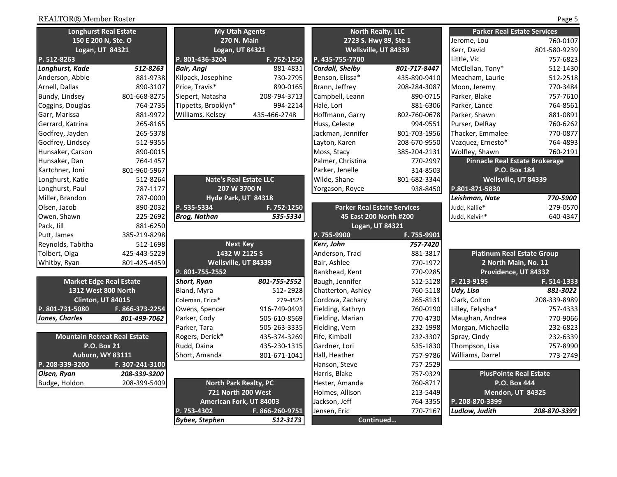| <b>Longhurst Real Estate</b>        |                 | <b>My Utah Agents</b>         |                 | <b>North Realty, LLC</b>           |              | <b>Parker Real Estate Services</b>    |              |
|-------------------------------------|-----------------|-------------------------------|-----------------|------------------------------------|--------------|---------------------------------------|--------------|
| 150 E 200 N, Ste. O                 |                 | 270 N. Main                   |                 | 2723 S. Hwy 89, Ste 1              |              | Jerome, Lou                           | 760-0107     |
| Logan, UT 84321                     |                 | Logan, UT 84321               |                 | Wellsville, UT 84339               |              | Kerr, David                           | 801-580-9239 |
| P. 512-8263                         |                 | P. 801-436-3204               | F. 752-1250     | P. 435-755-7700                    |              | Little, Vic                           | 757-6823     |
| Longhurst, Kade                     | 512-8263        | Bair, Angi                    | 881-4831        | <b>Cardall, Shelby</b>             | 801-717-8447 | McClellan, Tony*                      | 512-1430     |
| Anderson, Abbie                     | 881-9738        | Kilpack, Josephine            | 730-2795        | Benson, Elissa*                    | 435-890-9410 | Meacham, Laurie                       | 512-2518     |
| Arnell, Dallas                      | 890-3107        | Price, Travis*                | 890-0165        | Brann, Jeffrey                     | 208-284-3087 | Moon, Jeremy                          | 770-3484     |
| Bundy, Lindsey                      | 801-668-8275    | Siepert, Natasha              | 208-794-3713    | Campbell, Leann                    | 890-0715     | Parker, Blake                         | 757-7610     |
| Coggins, Douglas                    | 764-2735        | Tippetts, Brooklyn*           | 994-2214        | Hale, Lori                         | 881-6306     | Parker, Lance                         | 764-8561     |
| Garr, Marissa                       | 881-9972        | Williams, Kelsey              | 435-466-2748    | Hoffmann, Garry                    | 802-760-0678 | Parker, Shawn                         | 881-0891     |
| Gerrard, Katrina                    | 265-8165        |                               |                 | Huss, Celeste                      | 994-9551     | Purser, DelRay                        | 760-6262     |
| Godfrey, Jayden                     | 265-5378        |                               |                 | Jackman, Jennifer                  | 801-703-1956 | Thacker, Emmalee                      | 770-0877     |
| Godfrey, Lindsey                    | 512-9355        |                               |                 | Layton, Karen                      | 208-670-9550 | Vazquez, Ernesto*                     | 764-4893     |
| Hunsaker, Carson                    | 890-0015        |                               |                 | Moss, Stacy                        | 385-204-2131 | Wolfley, Shawn                        | 760-2191     |
| Hunsaker, Dan                       | 764-1457        |                               |                 | Palmer, Christina                  | 770-2997     | <b>Pinnacle Real Estate Brokerage</b> |              |
| Kartchner, Joni                     | 801-960-5967    |                               |                 | Parker, Jenelle                    | 314-8503     | P.O. Box 184                          |              |
| Longhurst, Katie                    | 512-8264        | <b>Nate's Real Estate LLC</b> |                 | Wilde, Shane                       | 801-682-3344 | Wellsville, UT 84339                  |              |
| Longhurst, Paul                     | 787-1177        | 207 W 3700 N                  |                 | Yorgason, Royce                    | 938-8450     | P.801-871-5830                        |              |
| Miller, Brandon                     | 787-0000        | Hyde Park, UT 84318           |                 |                                    |              | Leishman, Nate                        | 770-5900     |
| Olsen, Jacob                        | 890-2032        | P. 535-5334                   | F. 752-1250     | <b>Parker Real Estate Services</b> |              | Judd, Kallie*                         | 279-0570     |
| Owen, Shawn                         | 225-2692        | <b>Brog, Nathan</b>           | 535-5334        | 45 East 200 North #200             |              | Judd, Kelvin*                         | 640-4347     |
| Pack, Jill                          | 881-6250        |                               |                 | <b>Logan, UT 84321</b>             |              |                                       |              |
| Putt, James                         | 385-219-8298    |                               |                 | P. 755-9900                        | F. 755-9901  |                                       |              |
| Reynolds, Tabitha                   | 512-1698        | <b>Next Key</b>               |                 | Kerr, John                         | 757-7420     |                                       |              |
| Tolbert, Olga                       | 425-443-5229    | 1432 W 2125 S                 |                 | Anderson, Traci                    | 881-3817     | <b>Platinum Real Estate Group</b>     |              |
| Whitby, Ryan                        | 801-425-4459    | Wellsville, UT 84339          |                 | Bair, Ashlee                       | 770-1972     | 2 North Main, No. 11                  |              |
|                                     |                 | P. 801-755-2552               |                 | Bankhead, Kent                     | 770-9285     | Providence, UT 84332                  |              |
| <b>Market Edge Real Estate</b>      |                 | <b>Short, Ryan</b>            | 801-755-2552    | Baugh, Jennifer                    | 512-5128     | P. 213-9195                           | F. 514-1333  |
| 1312 West 800 North                 |                 | Bland, Myra                   | 512-2928        | Chatterton, Ashley                 | 760-5118     | Udy, Lisa                             | 881-3022     |
| Clinton, UT 84015                   |                 | Coleman, Erica*               | 279-4525        | Cordova, Zachary                   | 265-8131     | Clark, Colton                         | 208-339-8989 |
| P. 801-731-5080                     | F. 866-373-2254 | Owens, Spencer                | 916-749-0493    | Fielding, Kathryn                  | 760-0190     | Lilley, Felysha*                      | 757-4333     |
| Jones, Charles                      | 801-499-7062    | Parker, Cody                  | 505-610-8569    | Fielding, Marian                   | 770-4730     | Maughan, Andrea                       | 770-9066     |
|                                     |                 | Parker, Tara                  | 505-263-3335    | Fielding, Vern                     | 232-1998     | Morgan, Michaella                     | 232-6823     |
| <b>Mountain Retreat Real Estate</b> |                 | Rogers, Derick*               | 435-374-3269    | Fife, Kimball                      | 232-3307     | Spray, Cindy                          | 232-6339     |
| <b>P.O. Box 21</b>                  |                 | Rudd, Daina                   | 435-230-1315    | Gardner, Lori                      | 535-1830     | Thompson, Lisa                        | 757-8990     |
| <b>Auburn, WY 83111</b>             |                 | Short, Amanda                 | 801-671-1041    | Hall, Heather                      | 757-9786     | Williams, Darrel                      | 773-2749     |
| P. 208-339-3200                     | F. 307-241-3100 |                               |                 | Hanson, Steve                      | 757-2529     |                                       |              |
| Olsen, Ryan                         | 208-339-3200    |                               |                 | Harris, Blake                      | 757-9329     | <b>PlusPointe Real Estate</b>         |              |
| Budge, Holdon                       | 208-399-5409    | <b>North Park Realty, PC</b>  |                 | Hester, Amanda                     | 760-8717     | P.O. Box 444                          |              |
|                                     |                 | 721 North 200 West            |                 | Holmes, Allison                    | 213-5449     | Mendon, UT 84325                      |              |
|                                     |                 | American Fork, UT 84003       |                 | Jackson, Jeff                      | 764-3355     | P. 208-870-3399                       |              |
|                                     |                 | P. 753-4302                   | F. 866-260-9751 | Jensen, Eric                       | 770-7167     | Ludlow, Judith                        | 208-870-3399 |
|                                     |                 | <b>Bybee, Stephen</b>         | 512-3173        | Continued                          |              |                                       |              |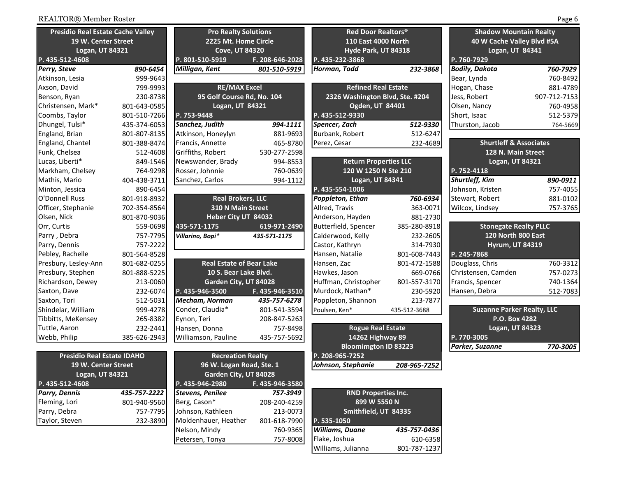| <b>Presidio Real Estate Cache Valley</b> |              | <b>Pro Realty Solutions</b>     |                      | Red Door Realtors <sup>®</sup>  |                     | <b>Shadow Mountain Realty</b>     |                            |
|------------------------------------------|--------------|---------------------------------|----------------------|---------------------------------|---------------------|-----------------------------------|----------------------------|
| 19 W. Center Street                      |              |                                 | 2225 Mt. Home Circle |                                 | 110 East 4000 North |                                   | 40 W Cache Valley Blvd #5A |
| Logan, UT 84321                          |              | <b>Cove, UT 84320</b>           |                      | Hyde Park, UT 84318             |                     | Logan, UT 84341                   |                            |
| P. 435-512-4608                          |              | P. 801-510-5919                 | F. 208-646-2028      | P. 435-232-3868                 |                     | P. 760-7929                       |                            |
| Perry, Steve                             | 890-6454     | Milligan, Kent                  | 801-510-5919         | Horman, Todd                    | 232-3868            | <b>Bodily, Dakota</b>             | 760-7929                   |
| Atkinson, Lesia                          | 999-9643     |                                 |                      |                                 |                     | Bear, Lynda                       | 760-8492                   |
| Axson, David                             | 799-9993     | <b>RE/MAX Excel</b>             |                      | <b>Refined Real Estate</b>      |                     | Hogan, Chase                      | 881-4789                   |
| Benson, Ryan                             | 230-8738     | 95 Golf Course Rd, No. 104      |                      | 2326 Washington Blvd, Ste. #204 |                     | Jess, Robert                      | 907-712-7153               |
| Christensen, Mark*                       | 801-643-0585 | Logan, UT 84321                 |                      | Ogden, UT 84401                 |                     | Olsen, Nancy                      | 760-4958                   |
| Coombs, Taylor                           | 801-510-7266 | P. 753-9448                     |                      | P. 435-512-9330                 |                     | Short, Isaac                      | 512-5379                   |
| Dhungel, Tulsi*                          | 435-374-6053 | Sanchez, Judith                 | 994-1111             | Spencer, Zach                   | 512-9330            | Thurston, Jacob                   | 764-5669                   |
| England, Brian                           | 801-807-8135 | Atkinson, Honeylyn              | 881-9693             | Burbank, Robert                 | 512-6247            |                                   |                            |
| England, Chantel                         | 801-388-8474 | Francis, Annette                | 465-8780             | Perez, Cesar                    | 232-4689            | <b>Shurtleff &amp; Associates</b> |                            |
| Funk, Chelsea                            | 512-4608     | Griffiths, Robert               | 530-277-2598         |                                 |                     | 128 N. Main Street                |                            |
| Lucas, Liberti*                          | 849-1546     | Newswander, Brady               | 994-8553             | <b>Return Properties LLC</b>    |                     | Logan, UT 84321                   |                            |
| Markham, Chelsey                         | 764-9298     | Rosser, Johnnie                 | 760-0639             | 120 W 1250 N Ste 210            |                     | P. 752-4118                       |                            |
| Mathis, Mario                            | 404-438-3711 | Sanchez, Carlos                 | 994-1112             | Logan, UT 84341                 |                     | <b>Shurtleff, Kim</b>             | 890-0911                   |
| Minton, Jessica                          | 890-6454     |                                 |                      | P. 435-554-1006                 |                     | Johnson, Kristen                  | 757-4055                   |
| O'Donnell Russ                           | 801-918-8932 | <b>Real Brokers, LLC</b>        |                      | Poppleton, Ethan                | 760-6934            | Stewart, Robert                   | 881-0102                   |
| Officer, Stephanie                       | 702-354-8564 | 310 N Main Street               |                      | Allred, Travis                  | 363-0071            | Wilcox, Lindsey                   | 757-3765                   |
| Olsen, Nick                              | 801-870-9036 | Heber City UT 84032             |                      | Anderson, Hayden                | 881-2730            |                                   |                            |
| Orr, Curtis                              | 559-0698     | 435-571-1175                    | 619-971-2490         | Butterfield, Spencer            | 385-280-8918        | <b>Stonegate Realty PLLC</b>      |                            |
| Parry, Debra                             | 757-7795     | Villarino, Bopi*                | 435-571-1175         | Calderwood, Kelly               | 232-2605            | 120 North 800 East                |                            |
| Parry, Dennis                            | 757-2222     |                                 |                      | Castor, Kathryn                 | 314-7930            | <b>Hyrum, UT 84319</b>            |                            |
| Pebley, Rachelle                         | 801-564-8528 |                                 |                      | Hansen, Natalie                 | 801-608-7443        | P. 245-7868                       |                            |
| Presbury, Lesley-Ann                     | 801-682-0255 | <b>Real Estate of Bear Lake</b> |                      | Hansen, Zac                     | 801-472-1588        | Douglass, Chris                   | 760-3312                   |
| Presbury, Stephen                        | 801-888-5225 | 10 S. Bear Lake Blvd.           |                      | Hawkes, Jason                   | 669-0766            | Christensen, Camden               | 757-0273                   |
| Richardson, Dewey                        | 213-0060     | Garden City, UT 84028           |                      | Huffman, Christopher            | 801-557-3170        | Francis, Spencer                  | 740-1364                   |
| Saxton, Dave                             | 232-6074     | P. 435-946-3500                 | F. 435-946-3510      | Murdock, Nathan*                | 230-5920            | Hansen, Debra                     | 512-7083                   |
| Saxton, Tori                             | 512-5031     | Mecham, Norman                  | 435-757-6278         | Poppleton, Shannon              | 213-7877            |                                   |                            |
| Shindelar, William                       | 999-4278     | Conder, Claudia*                | 801-541-3594         | Poulsen, Ken*                   | 435-512-3688        | <b>Suzanne Parker Realty, LLC</b> |                            |
| Tibbitts, MeKensey                       | 265-8382     | Eynon, Teri                     | 208-847-5263         |                                 |                     | P.O. Box 4282                     |                            |
| Tuttle, Aaron                            | 232-2441     | Hansen, Donna                   | 757-8498             | <b>Rogue Real Estate</b>        |                     | Logan, UT 84323                   |                            |
| Webb, Philip                             | 385-626-2943 | Williamson, Pauline             | 435-757-5692         | 14262 Highway 89                |                     | P. 770-3005                       |                            |
|                                          |              |                                 |                      | <b>Bloomimgton ID 83223</b>     |                     | Parker, Suzanne                   | 770-3005                   |
| <b>Presidio Real Estate IDAHO</b>        |              | <b>Recreation Realty</b>        |                      | P. 208-965-7252                 |                     |                                   |                            |
| 19 W. Center Street                      |              | 96 W. Logan Road, Ste. 1        |                      | Johnson, Stephanie              | 208-965-7252        |                                   |                            |
| Logan, UT 84321                          |              | Garden City, UT 84028           |                      |                                 |                     |                                   |                            |
| P. 435-512-4608                          |              | P. 435-946-2980                 | F. 435-946-3580      |                                 |                     |                                   |                            |
| <b>Parry, Dennis</b>                     | 435-757-2222 | Stevens, Penilee                | 757-3949             | <b>RND Properties Inc.</b>      |                     |                                   |                            |
| Fleming, Lori                            | 801-940-9560 | Berg, Cason*                    | 208-240-4259         | 899 W 5550 N                    |                     |                                   |                            |
| Parry, Debra                             | 757-7795     | Johnson, Kathleen               | 213-0073             | Smithfield, UT 84335            |                     |                                   |                            |
| Taylor, Steven                           | 232-3890     | Moldenhauer, Heather            | 801-618-7990         | P. 535-1050                     |                     |                                   |                            |
|                                          |              | Nelson, Mindy                   | 760-9365             | <b>Williams, Duane</b>          | 435-757-0436        |                                   |                            |
|                                          |              | Petersen, Tonya                 | 757-8008             | Flake, Joshua                   | 610-6358            |                                   |                            |

Williams, Julianna

801-787-1237